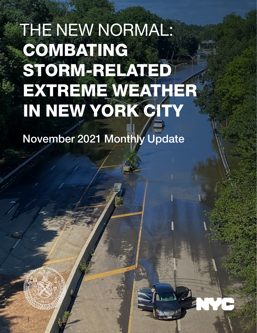# THE NEW NORMAL: COMBATING STORM-RELATED EXTREME WEATHER IN NEW YORK CITY

November 2021 Monthly Update



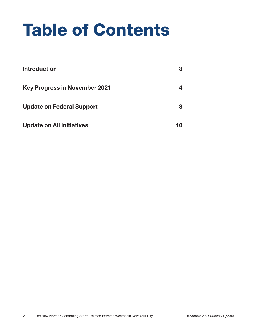# Table of Contents

| <b>Introduction</b>                  | 3  |
|--------------------------------------|----|
| <b>Key Progress in November 2021</b> |    |
| <b>Update on Federal Support</b>     | 8  |
| <b>Update on All Initiatives</b>     | 10 |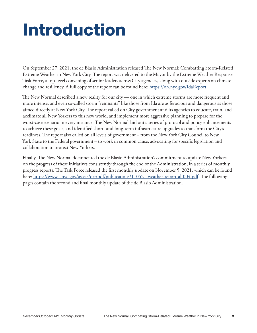# Introduction

On September 27, 2021, the de Blasio Administration released The New Normal: Combatting Storm-Related Extreme Weather in New York City. The report was delivered to the Mayor by the Extreme Weather Response Task Force, a top-level convening of senior leaders across City agencies, along with outside experts on climate change and resiliency. A full copy of the report can be found here: [https://on.nyc.gov/IdaReport.](https://www1.nyc.gov/assets/orr/pdf/publications/WeatherReport.pdf)

The New Normal described a new reality for our city — one in which extreme storms are more frequent and more intense, and even so-called storm "remnants" like those from Ida are as ferocious and dangerous as those aimed directly at New York City. The report called on City government and its agencies to educate, train, and acclimate all New Yorkers to this new world, and implement more aggressive planning to prepare for the worst-case scenario in every instance. The New Normal laid out a series of protocol and policy enhancements to achieve these goals, and identified short- and long-term infrastructure upgrades to transform the City's readiness. The report also called on all levels of government – from the New York City Council to New York State to the Federal government – to work in common cause, advocating for specific legislation and collaboration to protect New Yorkers.

Finally, The New Normal documented the de Blasio Administration's commitment to update New Yorkers on the progress of these initiatives consistently through the end of the Administration, in a series of monthly progress reports. The Task Force released the first monthly update on November 5, 2021, which can be found here: [https://www1.nyc.gov/assets/orr/pdf/publications/110521-weather-report-al-004.pdf.](https://www1.nyc.gov/assets/orr/pdf/publications/110521-weather-report-al-004.pdf) The following pages contain the second and final monthly update of the de Blasio Administration.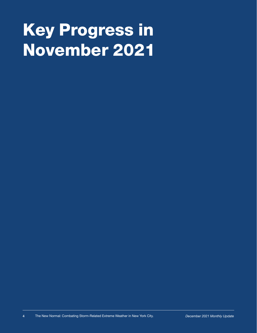# Key Progress in November 2021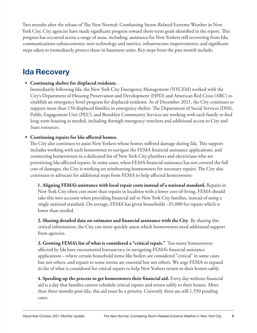Two months after the release of The New Normal: Combatting Storm-Related Extreme Weather in New York City, City agencies have made significant progress toward short-term goals identified in the report. This progress has occurred across a range of areas, including: assistance for New Yorkers still recovering from Ida; communications enhancements; new technology and metrics; infrastructure improvements; and significant steps taken to immediately protect those in basement units. Key steps from the past month include:

### **Ida Recovery**

### **• Continuing shelter for displaced residents.**

Immediately following Ida, the New York City Emergency Management (NYCEM) worked with the City's Department of Housing Preservation and Development (HPD) and American Red Cross (ARC) to establish an emergency hotel program for displaced residents. As of December 2021, the City continues to support more than 150 displaced families in emergency shelter. The Department of Social Services (DSS), Public Engagement Unit (PEU), and Brooklyn Community Services are working with each family to find long-term housing as needed, including through emergency vouchers and additional access to City and State resources.

### **• Continuing repairs for Ida-affected homes.**

The City also continues to assist New Yorkers whose homes suffered damage during Ida. This support includes working with each homeowner to navigate the FEMA financial assistance applications, and connecting homeowners to a dedicated list of New York City plumbers and electricians who are prioritizing Ida-affected repairs. In some cases, when FEMA financial assistance has not covered the full cost of damages, the City is working on reimbursing homeowners for necessary repairs. The City also continues to advocate for additional steps from FEMA to help affected homeowners:

**1. Aligning FEMA's assistance with local repair costs instead of a national standard.** Repairs in New York City often cost more than repairs in localities with a lower cost-of-living. FEMA should take this into account when providing financial aid to New York City families, instead of using a single national standard. On average, FEMA has given households ~\$5,000 for repairs which is lower than needed.

**2. Sharing detailed data on estimates and financial assistance with the City**. By sharing this critical information, the City can more quickly assess which homeowners need additional support from agencies.

**3. Growing FEMA's list of what is considered a "critical repair."** Too many homeowners affected by Ida have encountered bureaucracy in navigating FEMA's financial assistance applications – where certain household items like boilers are considered "critical" in some cases but not others, and repairs to some rooms are essential but not others. We urge FEMA to expand its list of what is considered for critical repairs to help New Yorkers return to their homes safely.

**4. Speeding up the process to get homeowners their financial aid.** Every day without financial aid is a day that families cannot schedule critical repairs and return safely to their homes. More than three months post-Ida, this aid must be a priority. Currently there are still 1,550 pending cases.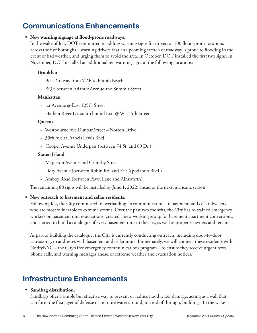### **Communications Enhancements**

#### **• New warning signage at flood-prone roadways.**

In the wake of Ida, DOT committed to adding warning signs for drivers at 100 flood-prone locations across the five boroughs – warning drivers that an upcoming stretch of roadway is prone to flooding in the event of bad weather, and urging them to avoid the area. In October, DOT installed the first two signs. In November, DOT installed an additional ten warning signs at the following locations:

#### **Brooklyn**

- Belt Parkway from VZB to Plumb Beach
- BQE between Atlantic Avenue and Summit Street

#### **Manhattan**

- 1st Avenue @ East 125th Street
- Harlem River Dr. south bound Exit @ W 155th Street

#### **Queens**

- ɽ Westbourne Ave Dunbar Street Norton Drive
- 39th Ave at Francis Lewis Blvd
- Cooper Avenue Underpass (between 74 St. and 69 Dr.)

#### **Staten Island**

- Mapleton Avenue and Grimsby Street
- ɽ Doty Avenue (between Robin Rd. and Fr. Capodanno Blvd.)
- Amboy Road (between Fawn Lane and Ainsworth)

The remaining 88 signs will be installed by June 1, 2022, ahead of the next hurricane season.

#### **• New outreach to basement and cellar residents.**

Following Ida, the City committed to overhauling its communications to basement and cellar dwellers who are most vulnerable to extreme storms. Over the past two months, the City has re-trained emergency workers on basement unit evacuations, created a new working group for basement apartment conversions, and started to build a catalogue of every basement unit in the city, as well as property owners and tenants

As part of building the catalogue, the City is currently conducting outreach, including door-to-door canvassing, to addresses with basement and cellar units. Immediately, we will connect these residents with NotifyNYC – the City's free emergency communications program – to ensure they receive urgent texts, phone calls, and warning messages ahead of extreme weather and evacuation notices.

### **Infrastructure Enhancements**

#### **• Sandbag distribution.**

Sandbags offer a simple but effective way to prevent or reduce flood water damage, acting as a wall that can form the first layer of defense or re-route water around, instead of through, buildings. In the wake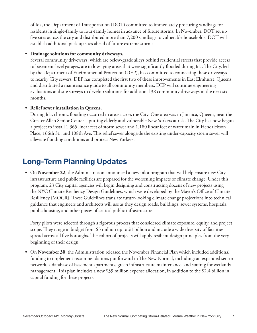of Ida, the Department of Transportation (DOT) committed to immediately procuring sandbags for residents in single-family to four-family homes in advance of future storms. In November, DOT set up five sites across the city and distributed more than 7,200 sandbags to vulnerable households. DOT will establish additional pick-up sites ahead of future extreme storms.

#### **• Drainage solutions for community driveways.**

Several community driveways, which are below-grade alleys behind residential streets that provide access to basement-level garages, are in low-lying areas that were significantly flooded during Ida. The City, led by the Department of Environmental Protection (DEP), has committed to connecting these driveways to nearby City sewers. DEP has completed the first two of these improvements in East Elmhurst, Queens, and distributed a maintenance guide to all community members. DEP will continue engineering evaluations and site surveys to develop solutions for additional 38 community driveways in the next six months.

### **• Relief sewer installation in Queens.**

During Ida, chronic flooding occurred in areas across the City. One area was in Jamaica, Queens, near the Greater Allen Senior Center – putting elderly and vulnerable New Yorkers at risk. The City has now begun a project to install 1,365 linear feet of storm sewer and 1,180 linear feet of water main in Hendrickson Place, 166th St., and 108th Ave. This relief sewer alongside the existing under-capacity storm sewer will alleviate flooding conditions and protect New Yorkers.

## **Long-Term Planning Updates**

**•** On **November 22**, the Administration announced a new pilot program that will help ensure new City infrastructure and public facilities are prepared for the worsening impacts of climate change. Under this program, 23 City capital agencies will begin designing and constructing dozens of new projects using the NYC Climate Resiliency Design Guidelines, which were developed by the Mayor's Office of Climate Resiliency (MOCR). These Guidelines translate future-looking climate change projections into technical guidance that engineers and architects will use as they design roads, buildings, sewer systems, hospitals, public housing, and other pieces of critical public infrastructure.

Forty pilots were selected through a rigorous process that considered climate exposure, equity, and project scope. They range in budget from \$3 million up to \$1 billion and include a wide diversity of facilities spread across all five boroughs. The cohort of projects will apply resilient design principles from the very beginning of their design.

**•** On **November 30**, the Administration released the November Financial Plan which included additional funding to implement recommendations put forward in The New Normal, including: an expanded sensor network, a database of basement apartments, green infrastructure maintenance, and staffing for wetlands management. This plan includes a new \$39 million expense allocation, in addition to the \$2.4 billion in capital funding for these projects.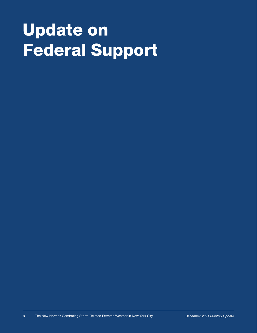# Update on Federal Support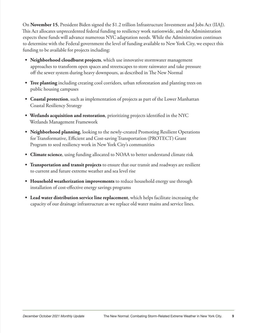On **November 15**, President Biden signed the \$1.2 trillion Infrastructure Investment and Jobs Act (IIAJ). This Act allocates unprecedented federal funding to resiliency work nationwide, and the Administration expects these funds will advance numerous NYC adaptation needs. While the Administration continues to determine with the Federal government the level of funding available to New York City, we expect this funding to be available for projects including:

- **• Neighborhood cloudburst projects**, which use innovative stormwater management approaches to transform open spaces and streetscapes to store rainwater and take pressure off the sewer system during heavy downpours, as described in The New Normal
- **• Tree planting** including creating cool corridors, urban reforestation and planting trees on public housing campuses
- **• Coastal protection**, such as implementation of projects as part of the Lower Manhattan Coastal Resiliency Strategy
- **• Wetlands acquisition and restoration**, prioritizing projects identified in the NYC Wetlands Management Framework
- **• Neighborhood planning**, looking to the newly-created Promoting Resilient Operations for Transformative, Efficient and Cost-saving Transportation (PROTECT) Grant Program to seed resiliency work in New York City's communities
- **• Climate science**, using funding allocated to NOAA to better understand climate risk
- **• Transportation and transit projects** to ensure that our transit and roadways are resilient to current and future extreme weather and sea level rise
- **• Household weatherization improvements** to reduce household energy use through installation of cost-effective energy savings programs
- **• Lead water distribution service line replacement**, which helps facilitate increasing the capacity of our drainage infrastructure as we replace old water mains and service lines.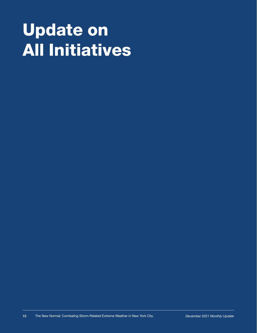# Update on All Initiatives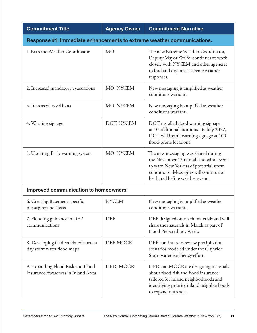| <b>Commitment Title</b>                                                   | <b>Agency Owner</b> | <b>Commitment Narrative</b>                                                                                                                                                                            |
|---------------------------------------------------------------------------|---------------------|--------------------------------------------------------------------------------------------------------------------------------------------------------------------------------------------------------|
| Response #1: Immediate enhancements to extreme weather communications.    |                     |                                                                                                                                                                                                        |
| 1. Extreme Weather Coordinator                                            | <b>MO</b>           | The new Extreme Weather Coordinator,<br>Deputy Mayor Wolfe, continues to work<br>closely with NYCEM and other agencies<br>to lead and organize extreme weather<br>responses.                           |
| 2. Increased mandatory evacuations                                        | MO, NYCEM           | New messaging is amplified as weather<br>conditions warrant.                                                                                                                                           |
| 3. Increased travel bans                                                  | MO, NYCEM           | New messaging is amplified as weather<br>conditions warrant.                                                                                                                                           |
| 4. Warning signage                                                        | DOT, NYCEM          | DOT installed flood warning signage<br>at 10 additional locations. By July 2022,<br>DOT will install warning signage at 100<br>flood-prone locations.                                                  |
| 5. Updating Early warning system                                          | MO, NYCEM           | The new messaging was shared during<br>the November 13 rainfall and wind event<br>to warn New Yorkers of potential storm<br>conditions. Messaging will continue to<br>be shared before weather events. |
| <b>Improved communication to homeowners:</b>                              |                     |                                                                                                                                                                                                        |
| 6. Creating Basement-specific<br>messaging and alerts                     | <b>NYCEM</b>        | New messaging is amplified as weather<br>conditions warrant.                                                                                                                                           |
| 7. Flooding guidance in DEP<br>communications                             | <b>DEP</b>          | DEP designed outreach materials and will<br>share the materials in March as part of<br>Flood Preparedness Week.                                                                                        |
| 8. Developing field-validated current<br>day stormwater flood maps        | DEP, MOCR           | DEP continues to review precipitation<br>scenarios modeled under the Citywide<br>Stormwater Resiliency effort.                                                                                         |
| 9. Expanding Flood Risk and Flood<br>Insurance Awareness in Inland Areas. | HPD, MOCR           | HPD and MOCR are designing materials<br>about flood risk and flood insurance<br>tailored for inland neighborhoods and<br>identifying priority inland neighborhoods<br>to expand outreach.              |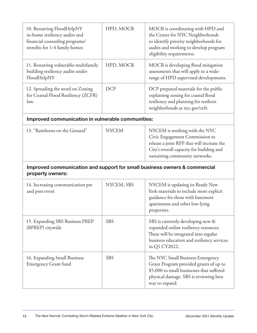| 10. Restarting FloodHelpNY<br>in-home resiliency audits and<br>financial counseling programs/<br>retrofits for 1-4 family homes | HPD, MOCR    | MOCR is coordinating with HPD and<br>the Center for NYC Neighborhoods<br>to identify priority neighborhoods for<br>audits and working to develop program<br>eligibility requirements.       |
|---------------------------------------------------------------------------------------------------------------------------------|--------------|---------------------------------------------------------------------------------------------------------------------------------------------------------------------------------------------|
| 11. Restarting vulnerable multifamily<br>building resiliency audits under<br>FloodHelpNY                                        | HPD, MOCR    | MOCR is developing flood mitigation<br>assessments that will apply to a wide-<br>range of HPD supervised developments.                                                                      |
| 12. Spreading the word on Zoning<br>for Coastal Flood Resiliency (ZCFR)<br>law.                                                 | <b>DCP</b>   | DCP prepared materials for the public<br>explaining zoning for coastal flood<br>resiliency and planning for resilient<br>neighborhoods at nyc.gov/zcfr.                                     |
| Improved communication in vulnerable communities:                                                                               |              |                                                                                                                                                                                             |
| 13. "Rainboots on the Ground"                                                                                                   | <b>NYCEM</b> | NYCEM is working with the NYC<br>Civic Engagement Commission to<br>release a joint RFP that will increase the<br>City's overall capacity for building and<br>sustaining community networks. |
| Improved communication and support for small business owners & commercial<br>property owners:                                   |              |                                                                                                                                                                                             |
| 14. Increasing communication pre<br>and post event                                                                              | NYCEM, SBS   | NYCEM is updating its Ready New<br>York materials to include more explicit<br>guidance for those with basement<br>apartments and other low-lying<br>properties.                             |
| 15. Expanding SBS Business PREP<br>(BPREP) citywide                                                                             | <b>SBS</b>   | SBS is currently developing new &<br>expanded online resiliency resources.<br>These will be integrated into regular<br>business education and resiliency services<br>in Q1 CY2022.          |
| 16. Expanding Small Business<br><b>Emergency Grant fund</b>                                                                     | <b>SBS</b>   | The NYC Small Business Emergency<br>Grant Program provided grants of up to<br>\$5,000 to small businesses that suffered<br>physical damage. SBS is reviewing best<br>way to expand.         |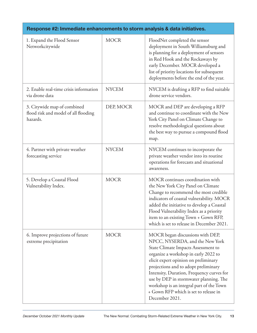| Response #2: Immediate enhancements to storm analysis & data initiatives.       |              |                                                                                                                                                                                                                                                                                                                                                                                                                                  |
|---------------------------------------------------------------------------------|--------------|----------------------------------------------------------------------------------------------------------------------------------------------------------------------------------------------------------------------------------------------------------------------------------------------------------------------------------------------------------------------------------------------------------------------------------|
| 1. Expand the Flood Sensor<br>Networkcitywide                                   | <b>MOCR</b>  | FloodNet completed the sensor<br>deployment in South Williamsburg and<br>is planning for a deployment of sensors<br>in Red Hook and the Rockaways by<br>early December. MOCR developed a<br>list of priority locations for subsequent<br>deployments before the end of the year.                                                                                                                                                 |
| 2. Enable real-time crisis information<br>via drone data                        | <b>NYCEM</b> | NYCEM is drafting a RFP to find suitable<br>drone service vendors.                                                                                                                                                                                                                                                                                                                                                               |
| 3. Citywide map of combined<br>flood risk and model of all flooding<br>hazards. | DEP, MOCR    | MOCR and DEP are developing a RFP<br>and continue to coordinate with the New<br>York City Panel on Climate Change to<br>resolve methodological questions about<br>the best way to pursue a compound flood<br>map.                                                                                                                                                                                                                |
| 4. Partner with private weather<br>forecasting service                          | <b>NYCEM</b> | NYCEM continues to incorporate the<br>private weather vendor into its routine<br>operations for forecasts and situational<br>awareness.                                                                                                                                                                                                                                                                                          |
| 5. Develop a Coastal Flood<br>Vulnerability Index.                              | <b>MOCR</b>  | MOCR continues coordination with<br>the New York City Panel on Climate<br>Change to recommend the most credible<br>indicators of coastal vulnerability. MOCR<br>added the initiative to develop a Coastal<br>Flood Vulnerability Index as a priority<br>item to an existing Town + Gown RFP,<br>which is set to release in December 2021.                                                                                        |
| 6. Improve projections of future<br>extreme precipitation                       | <b>MOCR</b>  | MOCR began discussions with DEP,<br>NPCC, NYSERDA, and the New York<br>State Climate Impacts Assessment to<br>organize a workshop in early 2022 to<br>elicit expert opinion on preliminary<br>projections and to adopt preliminary<br>Intensity, Duration, Frequency curves for<br>use by DEP in stormwater planning. The<br>workshop is an integral part of the Town<br>+ Gown RFP which is set to release in<br>December 2021. |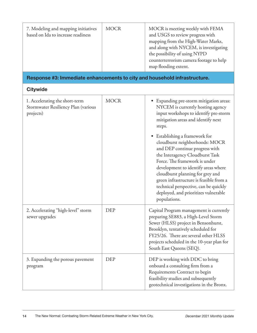| 7. Modeling and mapping initiatives<br>based on Ida to increase readiness          | <b>MOCR</b> | MOCR is meeting weekly with FEMA<br>and USGS to review progress with<br>mapping from the High-Water Marks,<br>and along with NYCEM, is investigating<br>the possibility of using NYPD<br>counterterrorism camera footage to help<br>map flooding extent.                                                                                                                                                                                                                                                                                                           |
|------------------------------------------------------------------------------------|-------------|--------------------------------------------------------------------------------------------------------------------------------------------------------------------------------------------------------------------------------------------------------------------------------------------------------------------------------------------------------------------------------------------------------------------------------------------------------------------------------------------------------------------------------------------------------------------|
| Response #3: Immediate enhancements to city and household infrastructure.          |             |                                                                                                                                                                                                                                                                                                                                                                                                                                                                                                                                                                    |
| <b>Citywide</b>                                                                    |             |                                                                                                                                                                                                                                                                                                                                                                                                                                                                                                                                                                    |
| 1. Accelerating the short-term<br>Stormwater Resiliency Plan (various<br>projects) | <b>MOCR</b> | Expanding pre-storm mitigation areas:<br>NYCEM is currently hosting agency<br>input workshops to identify pre-storm<br>mitigation areas and identify next<br>steps.<br>Establishing a framework for<br>cloudburst neighborhoods: MOCR<br>and DEP continue progress with<br>the Interagency Cloudburst Task<br>Force. The framework is under<br>development to identify areas where<br>cloudburst planning for grey and<br>green infrastructure is feasible from a<br>technical perspective, can be quickly<br>deployed, and prioritizes vulnerable<br>populations. |
| 2. Accelerating "high-level" storm<br>sewer upgrades                               | <b>DEP</b>  | Capital Program management is currently<br>preparing SE883, a High-Level Storm<br>Sewer (HLSS) project in Bensonhurst,<br>Brooklyn, tentatively scheduled for<br>FY25/26. There are several other HLSS<br>projects scheduled in the 10-year plan for<br>South East Queens (SEQ).                                                                                                                                                                                                                                                                                   |
| 3. Expanding the porous pavement<br>program                                        | <b>DEP</b>  | DEP is working with DDC to bring<br>onboard a consulting firm from a<br>Requirements Contract to begin<br>feasibility studies and subsequently<br>geotechnical investigations in the Bronx.                                                                                                                                                                                                                                                                                                                                                                        |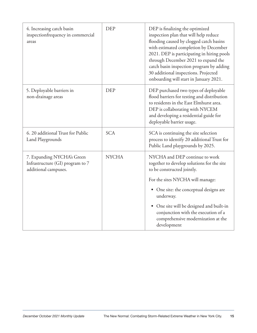| 4. Increasing catch basin<br>inspectionfrequency in commercial<br>areas                | <b>DEP</b>   | DEP is finalizing the optimized<br>inspection plan that will help reduce<br>flooding caused by clogged catch basins<br>with estimated completion by December<br>2021. DEP is participating in hiring pools<br>through December 2021 to expand the<br>catch basin inspection program by adding<br>30 additional inspections. Projected<br>onboarding will start in January 2021. |
|----------------------------------------------------------------------------------------|--------------|---------------------------------------------------------------------------------------------------------------------------------------------------------------------------------------------------------------------------------------------------------------------------------------------------------------------------------------------------------------------------------|
| 5. Deployable barriers in<br>non-drainage areas                                        | <b>DEP</b>   | DEP purchased two types of deployable<br>flood barriers for testing and distribution<br>to residents in the East Elmhurst area.<br>DEP is collaborating with NYCEM<br>and developing a residential guide for<br>deployable barrier usage.                                                                                                                                       |
| 6. 20 additional Trust for Public<br>Land Playgrounds                                  | <b>SCA</b>   | SCA is continuing the site selection<br>process to identify 20 additional Trust for<br>Public Land playgrounds by 2025.                                                                                                                                                                                                                                                         |
| 7. Expanding NYCHA's Green<br>Infrastructure (GI) program to 7<br>additional campuses. | <b>NYCHA</b> | NYCHA and DEP continue to work<br>together to develop solutions for the site<br>to be constructed jointly.                                                                                                                                                                                                                                                                      |
|                                                                                        |              | For the sites NYCHA will manage:                                                                                                                                                                                                                                                                                                                                                |
|                                                                                        |              | One site: the conceptual designs are<br>underway.                                                                                                                                                                                                                                                                                                                               |
|                                                                                        |              | One site will be designed and built-in<br>conjunction with the execution of a<br>comprehensive modernization at the<br>development                                                                                                                                                                                                                                              |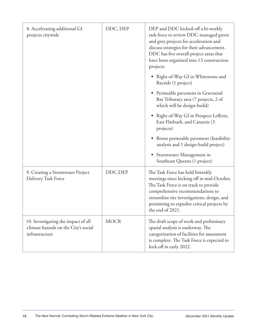| 8. Accelerating additional GI<br>projects citywide                                            | DDC, DEP    | DEP and DDC kicked-off a bi-weekly<br>task force to review DDC-managed green<br>and grey projects for acceleration and<br>discuss strategies for their advancement.<br>DDC has five overall project areas that<br>have been organized into 13 construction<br>projects:       |
|-----------------------------------------------------------------------------------------------|-------------|-------------------------------------------------------------------------------------------------------------------------------------------------------------------------------------------------------------------------------------------------------------------------------|
|                                                                                               |             | Right-of-Way GI in Whitestone and<br>Bayside (1 project)                                                                                                                                                                                                                      |
|                                                                                               |             | Permeable pavement in Gravesend<br>Bay Tributary area (7 projects, 2 of<br>which will be design-build)                                                                                                                                                                        |
|                                                                                               |             | Right-of-Way GI in Prospect Lefferts,<br>East Flatbush, and Canarsie (3<br>projects)                                                                                                                                                                                          |
|                                                                                               |             | Bronx permeable pavement (feasibility<br>analysis and 1 design-build project)                                                                                                                                                                                                 |
|                                                                                               |             | Stormwater Management in<br>Southeast Queens (1 project)                                                                                                                                                                                                                      |
| 9. Creating a Stormwater Project<br>Delivery Task Force                                       | DDC, DEP    | The Task Force has held biweekly<br>meetings since kicking off in mid-October.<br>The Task Force is on track to provide<br>comprehensive recommendations to<br>streamline site investigations, design, and<br>permitting to expedite critical projects by<br>the end of 2021. |
| 10. Investigating the impact of all<br>climate hazards on the City's social<br>infrastructure | <b>MOCR</b> | The draft scope of work and preliminary<br>spatial analysis is underway. The<br>categorization of facilities for assessment<br>is complete. The Task Force is expected to<br>kick off in early 2022.                                                                          |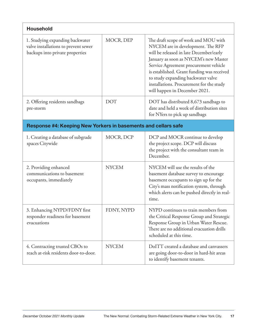| <b>Household</b>                                                                                           |              |                                                                                                                                                                                                                                                                                                                                                                         |
|------------------------------------------------------------------------------------------------------------|--------------|-------------------------------------------------------------------------------------------------------------------------------------------------------------------------------------------------------------------------------------------------------------------------------------------------------------------------------------------------------------------------|
| 1. Studying expanding backwater<br>valve installations to prevent sewer<br>backups into private properties | MOCR, DEP    | The draft scope of work and MOU with<br>NYCEM are in development. The RFP<br>will be released in late December/early<br>January as soon as NYCEM's new Master<br>Service Agreement procurement vehicle<br>is established. Grant funding was received<br>to study expanding backwater valve<br>installations. Procurement for the study<br>will happen in December 2021. |
| 2. Offering residents sandbags<br>pre-storm                                                                | <b>DOT</b>   | DOT has distributed 8,673 sandbags to<br>date and held a week of distribution sites<br>for NYers to pick up sandbags                                                                                                                                                                                                                                                    |
| Response #4: Keeping New Yorkers in basements and cellars safe                                             |              |                                                                                                                                                                                                                                                                                                                                                                         |
| 1. Creating a database of subgrade<br>spaces Citywide                                                      | MOCR, DCP    | DCP and MOCR continue to develop<br>the project scope. DCP will discuss<br>the project with the consultant team in<br>December.                                                                                                                                                                                                                                         |
| 2. Providing enhanced<br>communications to basement<br>occupants, immediately                              | <b>NYCEM</b> | NYCEM will use the results of the<br>basement database survey to encourage<br>basement occupants to sign up for the<br>City's mass notification system, through<br>which alerts can be pushed directly in real-<br>time.                                                                                                                                                |
| 3. Enhancing NYPD/FDNY first<br>responder readiness for basement<br>evacuations                            | FDNY, NYPD   | NYPD continues to train members from<br>the Critical Response Group and Strategic<br>Response Group in Urban Water Rescue.<br>There are no additional evacuation drills<br>scheduled at this time.                                                                                                                                                                      |
| 4. Contracting trusted CBOs to<br>reach at-risk residents door-to-door.                                    | <b>NYCEM</b> | DoITT created a database and canvassers<br>are going door-to-door in hard-hit areas<br>to identify basement tenants.                                                                                                                                                                                                                                                    |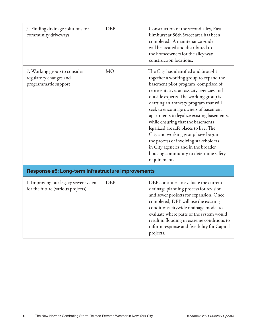| 5. Finding drainage solutions for<br>community driveways                       | <b>DEP</b> | Construction of the second alley, East<br>Elmhurst at 86th Street area has been<br>completed. A maintenance guide<br>will be created and distributed to<br>the homeowners for the alley way<br>construction locations.                                                                                                                                                                                                                                                                                                                                                                                  |
|--------------------------------------------------------------------------------|------------|---------------------------------------------------------------------------------------------------------------------------------------------------------------------------------------------------------------------------------------------------------------------------------------------------------------------------------------------------------------------------------------------------------------------------------------------------------------------------------------------------------------------------------------------------------------------------------------------------------|
| 7. Working group to consider<br>regulatory changes and<br>programmatic support | <b>MO</b>  | The City has identified and brought<br>together a working group to expand the<br>basement pilot program, comprised of<br>representatives across city agencies and<br>outside experts. The working group is<br>drafting an amnesty program that will<br>seek to encourage owners of basement<br>apartments to legalize existing basements,<br>while ensuring that the basements<br>legalized are safe places to live. The<br>City and working group have begun<br>the process of involving stakeholders<br>in City agencies and in the broader<br>housing community to determine safety<br>requirements. |
| Response #5: Long-term infrastructure improvements                             |            |                                                                                                                                                                                                                                                                                                                                                                                                                                                                                                                                                                                                         |
| 1. Improving our legacy sewer system<br>for the future (various projects)      | <b>DEP</b> | DEP continues to evaluate the current<br>drainage planning process for revision<br>and sewer projects for expansion. Once<br>completed, DEP will use the existing<br>conditions citywide drainage model to<br>evaluate where parts of the system would<br>result in flooding in extreme conditions to<br>inform response and feasibility for Capital<br>projects.                                                                                                                                                                                                                                       |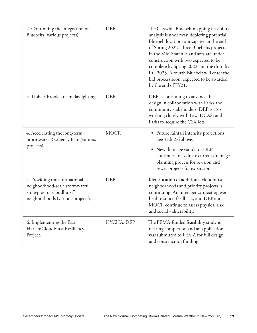| 2. Continuing the integration of<br>Bluebelts (various projects)                                                                   | <b>DEP</b>  | The Citywide Bluebelt mapping feasibility<br>analysis is underway, depicting potential<br>Bluebelt locations anticipated at the end<br>of Spring 2022. Three Bluebelts projects<br>in the Mid-Staten Island area are under<br>construction with two expected to be<br>complete by Spring 2022 and the third by<br>Fall 2023. A fourth Bluebelt will enter the<br>bid process soon, expected to be awarded<br>by the end of FY21. |
|------------------------------------------------------------------------------------------------------------------------------------|-------------|----------------------------------------------------------------------------------------------------------------------------------------------------------------------------------------------------------------------------------------------------------------------------------------------------------------------------------------------------------------------------------------------------------------------------------|
| 3. Tibbets Brook stream daylighting                                                                                                | DEP         | DEP is continuing to advance the<br>design in collaboration with Parks and<br>community stakeholders. DEP is also<br>working closely with Law, DCAS, and<br>Parks to acquire the CSX lots.                                                                                                                                                                                                                                       |
| 4. Accelerating the long-term<br>Stormwater Resiliency Plan (various<br>projects)                                                  | <b>MOCR</b> | Future rainfall intensity projections:<br>$\bullet$<br>See Task 2.6 above.<br>New drainage standard: DEP<br>$\bullet$<br>continues to evaluate current drainage<br>planning process for revision and<br>sewer projects for expansion.                                                                                                                                                                                            |
| 5. Providing transformational,<br>neighborhood-scale stormwater<br>strategies to "cloudburst"<br>neighborhoods (various projects). | <b>DEP</b>  | Identification of additional cloudburst<br>neighborhoods and priority projects is<br>continuing. An interagency meeting was<br>held to solicit feedback, and DEP and<br>MOCR continue to assess physical risk<br>and social vulnerability.                                                                                                                                                                                       |
| 6. Implementing the East<br>HarlemCloudburst Resiliency<br>Project.                                                                | NYCHA, DEP  | The FEMA-funded feasibility study is<br>nearing completion and an application<br>was submitted to FEMA for full design<br>and construction funding.                                                                                                                                                                                                                                                                              |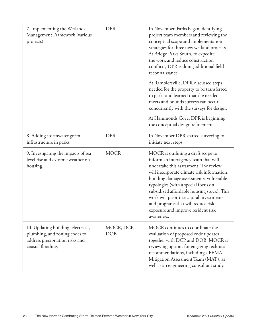| 7. Implementing the Wetlands<br>Management Framework (various<br>projects)                                                  | <b>DPR</b>        | In November, Parks began identifying<br>project team members and reviewing the<br>conceptual scope and implementation<br>strategies for three new wetland projects.<br>At Bridge Parks South, to expedite<br>the work and reduce construction<br>conflicts, DPR is doing additional field<br>reconnaissance.                                                                                                                            |
|-----------------------------------------------------------------------------------------------------------------------------|-------------------|-----------------------------------------------------------------------------------------------------------------------------------------------------------------------------------------------------------------------------------------------------------------------------------------------------------------------------------------------------------------------------------------------------------------------------------------|
|                                                                                                                             |                   | At Ramblersville, DPR discussed steps<br>needed for the property to be transferred<br>to parks and learned that the needed<br>meets and bounds surveys can occur<br>concurrently with the surveys for design.<br>At Hammonds Cove, DPR is beginning<br>the conceptual design refinement.                                                                                                                                                |
| 8. Adding stormwater green<br>infrastructure in parks.                                                                      | <b>DPR</b>        | In November DPR started surveying to<br>initiate next steps.                                                                                                                                                                                                                                                                                                                                                                            |
| 9. Investigating the impacts of sea<br>level rise and extreme weather on<br>housing.                                        | <b>MOCR</b>       | MOCR is outlining a draft scope to<br>inform an interagency team that will<br>undertake this assessment. The review<br>will incorporate climate risk information,<br>building damage assessments, vulnerable<br>typologies (with a special focus on<br>subsidized affordable housing stock). This<br>work will prioritize capital investments<br>and programs that will reduce risk<br>exposure and improve resident risk<br>awareness. |
| 10. Updating building, electrical,<br>plumbing, and zoning codes to<br>address precipitation risks and<br>coastal flooding. | MOCR, DCP,<br>DOB | MOCR continues to coordinate the<br>evaluation of proposed code updates<br>together with DCP and DOB. MOCR is<br>reviewing options for engaging technical<br>recommendations, including a FEMA<br>Mitigation Assessment Team (MAT), as<br>well as an engineering consultant study.                                                                                                                                                      |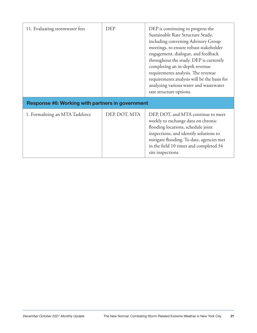| 11. Evaluating stormwater fees                          | <b>DEP</b>    | DEP is continuing to progress the<br>Sustainable Rate Structure Study,<br>including convening Advisory Group<br>meetings, to ensure robust stakeholder<br>engagement, dialogue, and feedback<br>throughout the study. DEP is currently<br>completing an in-depth revenue<br>requirements analysis. The revenue<br>requirements analysis will be the basis for<br>analyzing various water and wastewater<br>rate structure options. |
|---------------------------------------------------------|---------------|------------------------------------------------------------------------------------------------------------------------------------------------------------------------------------------------------------------------------------------------------------------------------------------------------------------------------------------------------------------------------------------------------------------------------------|
| <b>Response #6: Working with partners in government</b> |               |                                                                                                                                                                                                                                                                                                                                                                                                                                    |
| 1. Formalizing an MTA Taskforce                         | DEP, DOT, MTA | DEP, DOT, and MTA continue to meet<br>weekly to exchange data on chronic<br>flooding locations, schedule joint<br>inspections, and identify solutions to<br>mitigate flooding. To date, agencies met<br>in the field 10 times and completed 34<br>site inspections.                                                                                                                                                                |